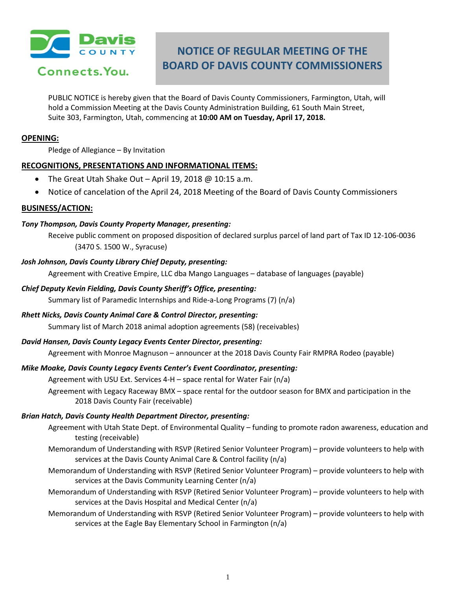

Connects. You.

# **NOTICE OF REGULAR MEETING OF THE BOARD OF DAVIS COUNTY COMMISSIONERS**

PUBLIC NOTICE is hereby given that the Board of Davis County Commissioners, Farmington, Utah, will hold a Commission Meeting at the Davis County Administration Building, 61 South Main Street, Suite 303, Farmington, Utah, commencing at **10:00 AM on Tuesday, April 17, 2018.**

#### **OPENING:**

Pledge of Allegiance – By Invitation

## **RECOGNITIONS, PRESENTATIONS AND INFORMATIONAL ITEMS:**

- The Great Utah Shake Out April 19, 2018  $\omega$  10:15 a.m.
- Notice of cancelation of the April 24, 2018 Meeting of the Board of Davis County Commissioners

## **BUSINESS/ACTION:**

#### *Tony Thompson, Davis County Property Manager, presenting:*

Receive public comment on proposed disposition of declared surplus parcel of land part of Tax ID 12-106-0036 (3470 S. 1500 W., Syracuse)

## *Josh Johnson, Davis County Library Chief Deputy, presenting:*

Agreement with Creative Empire, LLC dba Mango Languages – database of languages (payable)

## *Chief Deputy Kevin Fielding, Davis County Sheriff's Office, presenting:*

Summary list of Paramedic Internships and Ride-a-Long Programs (7) (n/a)

## *Rhett Nicks, Davis County Animal Care & Control Director, presenting:*

Summary list of March 2018 animal adoption agreements (58) (receivables)

# *David Hansen, Davis County Legacy Events Center Director, presenting:*

Agreement with Monroe Magnuson – announcer at the 2018 Davis County Fair RMPRA Rodeo (payable)

# *Mike Moake, Davis County Legacy Events Center's Event Coordinator, presenting:*

Agreement with USU Ext. Services 4-H – space rental for Water Fair (n/a)

Agreement with Legacy Raceway BMX – space rental for the outdoor season for BMX and participation in the 2018 Davis County Fair (receivable)

# *Brian Hatch, Davis County Health Department Director, presenting:*

- Agreement with Utah State Dept. of Environmental Quality funding to promote radon awareness, education and testing (receivable)
- Memorandum of Understanding with RSVP (Retired Senior Volunteer Program) provide volunteers to help with services at the Davis County Animal Care & Control facility (n/a)
- Memorandum of Understanding with RSVP (Retired Senior Volunteer Program) provide volunteers to help with services at the Davis Community Learning Center (n/a)
- Memorandum of Understanding with RSVP (Retired Senior Volunteer Program) provide volunteers to help with services at the Davis Hospital and Medical Center (n/a)
- Memorandum of Understanding with RSVP (Retired Senior Volunteer Program) provide volunteers to help with services at the Eagle Bay Elementary School in Farmington (n/a)